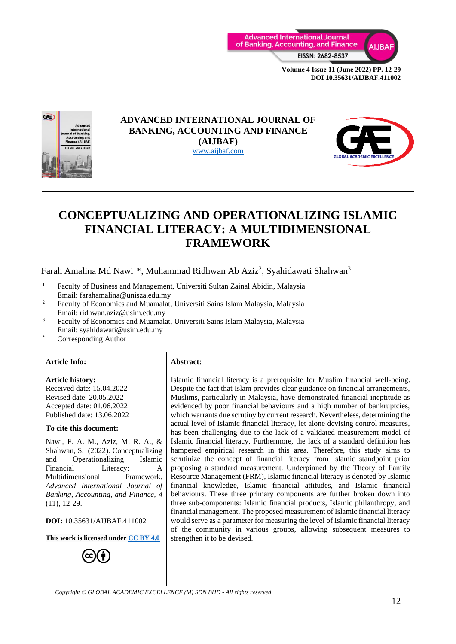



#### **ADVANCED INTERNATIONAL JOURNAL OF BANKING, ACCOUNTING AND FINANCE (AIJBAF)** [www.aijbaf.com](http://www.aijbaf.com/)



# **CONCEPTUALIZING AND OPERATIONALIZING ISLAMIC FINANCIAL LITERACY: A MULTIDIMENSIONAL FRAMEWORK**

Farah Amalina Md Nawi<sup>1\*</sup>, Muhammad Ridhwan Ab Aziz<sup>2</sup>, Syahidawati Shahwan<sup>3</sup>

- <sup>1</sup> Faculty of Business and Management, Universiti Sultan Zainal Abidin, Malaysia Email: farahamalina@unisza.edu.my
- <sup>2</sup> Faculty of Economics and Muamalat, Universiti Sains Islam Malaysia, Malaysia Email: ridhwan.aziz@usim.edu.my
- <sup>3</sup> Faculty of Economics and Muamalat, Universiti Sains Islam Malaysia, Malaysia Email: syahidawati@usim.edu.my
- Corresponding Author

#### **Article Info: Abstract:**

**Article history:** Received date: 15.04.2022 Revised date: 20.05.2022 Accepted date: 01.06.2022 Published date: 13.06.2022

#### **To cite this document:**

Nawi, F. A. M., Aziz, M. R. A., & Shahwan, S. (2022). Conceptualizing and Operationalizing Islamic Financial Literacy: A Multidimensional Framework. *Advanced International Journal of Banking, Accounting, and Finance, 4* (11), 12-29.

**DOI:** 10.35631/AIJBAF.411002

**This work is licensed under [CC BY 4.0](https://creativecommons.org/licenses/by/4.0/?ref=chooser-v1)**



Islamic financial literacy is a prerequisite for Muslim financial well-being. Despite the fact that Islam provides clear guidance on financial arrangements, Muslims, particularly in Malaysia, have demonstrated financial ineptitude as evidenced by poor financial behaviours and a high number of bankruptcies, which warrants due scrutiny by current research. Nevertheless, determining the actual level of Islamic financial literacy, let alone devising control measures, has been challenging due to the lack of a validated measurement model of Islamic financial literacy. Furthermore, the lack of a standard definition has hampered empirical research in this area. Therefore, this study aims to scrutinize the concept of financial literacy from Islamic standpoint prior proposing a standard measurement. Underpinned by the Theory of Family Resource Management (FRM), Islamic financial literacy is denoted by Islamic financial knowledge, Islamic financial attitudes, and Islamic financial behaviours. These three primary components are further broken down into three sub-components: Islamic financial products, Islamic philanthropy, and financial management. The proposed measurement of Islamic financial literacy would serve as a parameter for measuring the level of Islamic financial literacy of the community in various groups, allowing subsequent measures to strengthen it to be devised.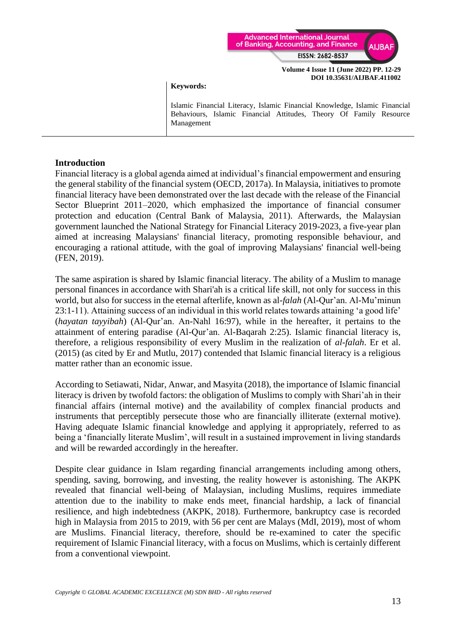

**Keywords:**

Islamic Financial Literacy, Islamic Financial Knowledge, Islamic Financial Behaviours, Islamic Financial Attitudes, Theory Of Family Resource Management

### **Introduction**

Financial literacy is a global agenda aimed at individual's financial empowerment and ensuring the general stability of the financial system (OECD, 2017a). In Malaysia, initiatives to promote financial literacy have been demonstrated over the last decade with the release of the Financial Sector Blueprint 2011–2020, which emphasized the importance of financial consumer protection and education (Central Bank of Malaysia, 2011). Afterwards, the Malaysian government launched the National Strategy for Financial Literacy 2019-2023, a five-year plan aimed at increasing Malaysians' financial literacy, promoting responsible behaviour, and encouraging a rational attitude, with the goal of improving Malaysians' financial well-being (FEN, 2019).

The same aspiration is shared by Islamic financial literacy. The ability of a Muslim to manage personal finances in accordance with Shari'ah is a critical life skill, not only for success in this world, but also for success in the eternal afterlife, known as al-*falah* (Al-Qur'an. Al-Mu'minun 23:1-11). Attaining success of an individual in this world relates towards attaining 'a good life' (*hayatan tayyibah*) (Al-Qur'an. An-Nahl 16:97), while in the hereafter, it pertains to the attainment of entering paradise (Al-Qur'an. Al-Baqarah 2:25). Islamic financial literacy is, therefore, a religious responsibility of every Muslim in the realization of *al-falah*. Er et al. (2015) (as cited by Er and Mutlu, 2017) contended that Islamic financial literacy is a religious matter rather than an economic issue.

According to Setiawati, Nidar, Anwar, and Masyita (2018), the importance of Islamic financial literacy is driven by twofold factors: the obligation of Muslims to comply with Shari'ah in their financial affairs (internal motive) and the availability of complex financial products and instruments that perceptibly persecute those who are financially illiterate (external motive). Having adequate Islamic financial knowledge and applying it appropriately, referred to as being a 'financially literate Muslim', will result in a sustained improvement in living standards and will be rewarded accordingly in the hereafter.

Despite clear guidance in Islam regarding financial arrangements including among others, spending, saving, borrowing, and investing, the reality however is astonishing. The AKPK revealed that financial well-being of Malaysian, including Muslims, requires immediate attention due to the inability to make ends meet, financial hardship, a lack of financial resilience, and high indebtedness (AKPK, 2018). Furthermore, bankruptcy case is recorded high in Malaysia from 2015 to 2019, with 56 per cent are Malays (MdI, 2019), most of whom are Muslims. Financial literacy, therefore, should be re-examined to cater the specific requirement of Islamic Financial literacy, with a focus on Muslims, which is certainly different from a conventional viewpoint.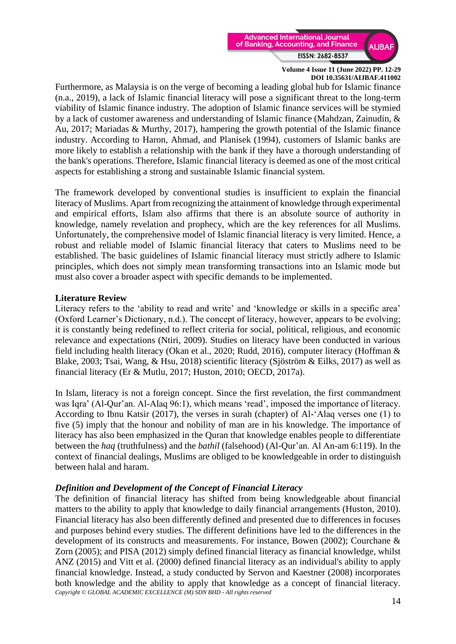

Furthermore, as Malaysia is on the verge of becoming a leading global hub for Islamic finance (n.a., 2019), a lack of Islamic financial literacy will pose a significant threat to the long-term viability of Islamic finance industry. The adoption of Islamic finance services will be stymied by a lack of customer awareness and understanding of Islamic finance (Mahdzan, Zainudin, & Au, 2017; Mariadas & Murthy, 2017), hampering the growth potential of the Islamic finance industry. According to Haron, Ahmad, and Planisek (1994), customers of Islamic banks are more likely to establish a relationship with the bank if they have a thorough understanding of the bank's operations. Therefore, Islamic financial literacy is deemed as one of the most critical aspects for establishing a strong and sustainable Islamic financial system.

The framework developed by conventional studies is insufficient to explain the financial literacy of Muslims. Apart from recognizing the attainment of knowledge through experimental and empirical efforts, Islam also affirms that there is an absolute source of authority in knowledge, namely revelation and prophecy, which are the key references for all Muslims. Unfortunately, the comprehensive model of Islamic financial literacy is very limited. Hence, a robust and reliable model of Islamic financial literacy that caters to Muslims need to be established. The basic guidelines of Islamic financial literacy must strictly adhere to Islamic principles, which does not simply mean transforming transactions into an Islamic mode but must also cover a broader aspect with specific demands to be implemented.

#### **Literature Review**

Literacy refers to the 'ability to read and write' and 'knowledge or skills in a specific area' (Oxford Learner's Dictionary, n.d.). The concept of literacy, however, appears to be evolving; it is constantly being redefined to reflect criteria for social, political, religious, and economic relevance and expectations (Ntiri, 2009). Studies on literacy have been conducted in various field including health literacy (Okan et al., 2020; Rudd, 2016), computer literacy (Hoffman & Blake, 2003; Tsai, Wang, & Hsu, 2018) scientific literacy (Sjöström & Eilks, 2017) as well as financial literacy (Er & Mutlu, 2017; Huston, 2010; OECD, 2017a).

In Islam, literacy is not a foreign concept. Since the first revelation, the first commandment was Iqra' (Al-Qur'an. Al-Alaq 96:1), which means 'read', imposed the importance of literacy. According to Ibnu Katsir (2017), the verses in surah (chapter) of Al-'Alaq verses one (1) to five (5) imply that the honour and nobility of man are in his knowledge. The importance of literacy has also been emphasized in the Quran that knowledge enables people to differentiate between the *haq* (truthfulness) and the *bathil* (falsehood) (Al-Qur'an. Al An-am 6:119). In the context of financial dealings, Muslims are obliged to be knowledgeable in order to distinguish between halal and haram.

# *Definition and Development of the Concept of Financial Literacy*

*Copyright © GLOBAL ACADEMIC EXCELLENCE (M) SDN BHD - All rights reserved* The definition of financial literacy has shifted from being knowledgeable about financial matters to the ability to apply that knowledge to daily financial arrangements (Huston, 2010). Financial literacy has also been differently defined and presented due to differences in focuses and purposes behind every studies. The different definitions have led to the differences in the development of its constructs and measurements. For instance, Bowen (2002); Courchane & Zorn (2005); and PISA (2012) simply defined financial literacy as financial knowledge, whilst ANZ (2015) and Vitt et al. (2000) defined financial literacy as an individual's ability to apply financial knowledge. Instead, a study conducted by Servon and Kaestner (2008) incorporates both knowledge and the ability to apply that knowledge as a concept of financial literacy.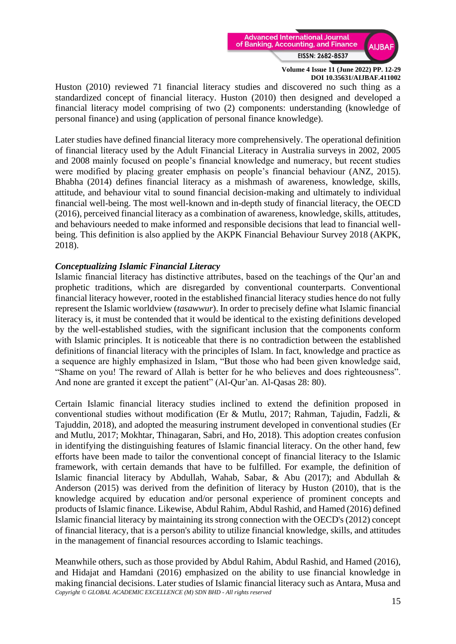

Huston (2010) reviewed 71 financial literacy studies and discovered no such thing as a standardized concept of financial literacy. Huston (2010) then designed and developed a financial literacy model comprising of two (2) components: understanding (knowledge of personal finance) and using (application of personal finance knowledge).

Later studies have defined financial literacy more comprehensively. The operational definition of financial literacy used by the Adult Financial Literacy in Australia surveys in 2002, 2005 and 2008 mainly focused on people's financial knowledge and numeracy, but recent studies were modified by placing greater emphasis on people's financial behaviour (ANZ, 2015). Bhabha (2014) defines financial literacy as a mishmash of awareness, knowledge, skills, attitude, and behaviour vital to sound financial decision-making and ultimately to individual financial well-being. The most well-known and in-depth study of financial literacy, the OECD (2016), perceived financial literacy as a combination of awareness, knowledge, skills, attitudes, and behaviours needed to make informed and responsible decisions that lead to financial wellbeing. This definition is also applied by the AKPK Financial Behaviour Survey 2018 (AKPK, 2018).

### *Conceptualizing Islamic Financial Literacy*

Islamic financial literacy has distinctive attributes, based on the teachings of the Qur'an and prophetic traditions, which are disregarded by conventional counterparts. Conventional financial literacy however, rooted in the established financial literacy studies hence do not fully represent the Islamic worldview (*tasawwur*). In order to precisely define what Islamic financial literacy is, it must be contended that it would be identical to the existing definitions developed by the well-established studies, with the significant inclusion that the components conform with Islamic principles. It is noticeable that there is no contradiction between the established definitions of financial literacy with the principles of Islam. In fact, knowledge and practice as a sequence are highly emphasized in Islam, "But those who had been given knowledge said, "Shame on you! The reward of Allah is better for he who believes and does righteousness". And none are granted it except the patient" (Al-Qur'an. Al-Qasas 28: 80).

Certain Islamic financial literacy studies inclined to extend the definition proposed in conventional studies without modification (Er & Mutlu, 2017; Rahman, Tajudin, Fadzli, & Tajuddin, 2018), and adopted the measuring instrument developed in conventional studies (Er and Mutlu, 2017; Mokhtar, Thinagaran, Sabri, and Ho, 2018). This adoption creates confusion in identifying the distinguishing features of Islamic financial literacy. On the other hand, few efforts have been made to tailor the conventional concept of financial literacy to the Islamic framework, with certain demands that have to be fulfilled. For example, the definition of Islamic financial literacy by Abdullah, Wahab, Sabar, & Abu (2017); and Abdullah & Anderson (2015) was derived from the definition of literacy by Huston (2010), that is the knowledge acquired by education and/or personal experience of prominent concepts and products of Islamic finance. Likewise, Abdul Rahim, Abdul Rashid, and Hamed (2016) defined Islamic financial literacy by maintaining its strong connection with the OECD's (2012) concept of financial literacy, that is a person's ability to utilize financial knowledge, skills, and attitudes in the management of financial resources according to Islamic teachings.

*Copyright © GLOBAL ACADEMIC EXCELLENCE (M) SDN BHD - All rights reserved* Meanwhile others, such as those provided by Abdul Rahim, Abdul Rashid, and Hamed (2016), and Hidajat and Hamdani (2016) emphasized on the ability to use financial knowledge in making financial decisions. Later studies of Islamic financial literacy such as Antara, Musa and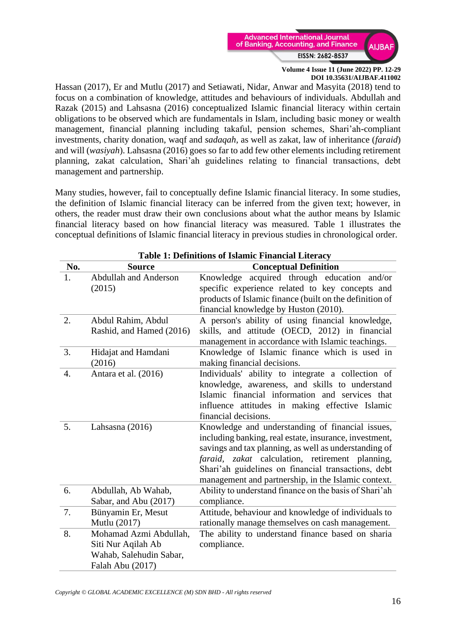

Hassan (2017), Er and Mutlu (2017) and Setiawati, Nidar, Anwar and Masyita (2018) tend to focus on a combination of knowledge, attitudes and behaviours of individuals. Abdullah and Razak (2015) and Lahsasna (2016) conceptualized Islamic financial literacy within certain obligations to be observed which are fundamentals in Islam, including basic money or wealth management, financial planning including takaful, pension schemes, Shari'ah-compliant investments, charity donation, waqf and *sadaqah*, as well as zakat, law of inheritance (*faraid*) and will (*wasiyah*). Lahsasna (2016) goes so far to add few other elements including retirement planning, zakat calculation, Shari'ah guidelines relating to financial transactions, debt management and partnership.

Many studies, however, fail to conceptually define Islamic financial literacy. In some studies, the definition of Islamic financial literacy can be inferred from the given text; however, in others, the reader must draw their own conclusions about what the author means by Islamic financial literacy based on how financial literacy was measured. Table 1 illustrates the conceptual definitions of Islamic financial literacy in previous studies in chronological order.

|     | <b>Table 1: Definitions of Islamic Financial Literacy</b> |                                                         |  |  |
|-----|-----------------------------------------------------------|---------------------------------------------------------|--|--|
| No. | <b>Source</b>                                             | <b>Conceptual Definition</b>                            |  |  |
| 1.  | <b>Abdullah and Anderson</b>                              | acquired through education and/or<br>Knowledge          |  |  |
|     | (2015)                                                    | specific experience related to key concepts and         |  |  |
|     |                                                           | products of Islamic finance (built on the definition of |  |  |
|     |                                                           | financial knowledge by Huston (2010).                   |  |  |
| 2.  | Abdul Rahim, Abdul                                        | A person's ability of using financial knowledge,        |  |  |
|     | Rashid, and Hamed (2016)                                  | skills, and attitude (OECD, 2012) in financial          |  |  |
|     |                                                           | management in accordance with Islamic teachings.        |  |  |
| 3.  | Hidajat and Hamdani                                       | Knowledge of Islamic finance which is used in           |  |  |
|     | (2016)                                                    | making financial decisions.                             |  |  |
| 4.  | Antara et al. (2016)                                      | Individuals' ability to integrate a collection of       |  |  |
|     |                                                           | knowledge, awareness, and skills to understand          |  |  |
|     |                                                           | Islamic financial information and services that         |  |  |
|     |                                                           | influence attitudes in making effective Islamic         |  |  |
|     |                                                           | financial decisions.                                    |  |  |
| 5.  | Lahsasna (2016)                                           | Knowledge and understanding of financial issues,        |  |  |
|     |                                                           | including banking, real estate, insurance, investment,  |  |  |
|     |                                                           | savings and tax planning, as well as understanding of   |  |  |
|     |                                                           | faraid, zakat calculation, retirement planning,         |  |  |
|     |                                                           | Shari'ah guidelines on financial transactions, debt     |  |  |
|     |                                                           | management and partnership, in the Islamic context.     |  |  |
| 6.  | Abdullah, Ab Wahab,                                       | Ability to understand finance on the basis of Shari'ah  |  |  |
|     | Sabar, and Abu (2017)                                     | compliance.                                             |  |  |
| 7.  | Bünyamin Er, Mesut                                        | Attitude, behaviour and knowledge of individuals to     |  |  |
|     | Mutlu (2017)                                              | rationally manage themselves on cash management.        |  |  |
| 8.  | Mohamad Azmi Abdullah,                                    | The ability to understand finance based on sharia       |  |  |
|     | Siti Nur Aqilah Ab                                        | compliance.                                             |  |  |
|     | Wahab, Salehudin Sabar,                                   |                                                         |  |  |
|     | Falah Abu (2017)                                          |                                                         |  |  |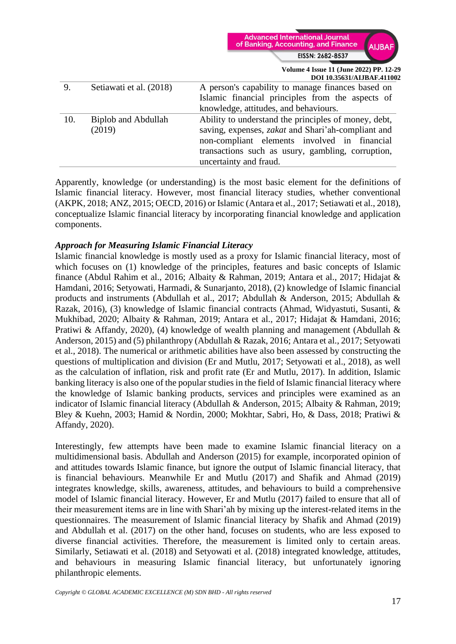

|     |                            | DOI 10.35631/ALJBAF.41100.                                |  |  |
|-----|----------------------------|-----------------------------------------------------------|--|--|
| 9.  | Setiawati et al. (2018)    | A person's capability to manage finances based on         |  |  |
|     |                            | Islamic financial principles from the aspects of          |  |  |
|     |                            | knowledge, attitudes, and behaviours.                     |  |  |
| 10. | <b>Biplob and Abdullah</b> | Ability to understand the principles of money, debt,      |  |  |
|     | (2019)                     | saving, expenses, <i>zakat</i> and Shari'ah-compliant and |  |  |
|     |                            | non-compliant elements involved in financial              |  |  |
|     |                            | transactions such as usury, gambling, corruption,         |  |  |
|     |                            | uncertainty and fraud.                                    |  |  |
|     |                            |                                                           |  |  |

Apparently, knowledge (or understanding) is the most basic element for the definitions of Islamic financial literacy. However, most financial literacy studies, whether conventional (AKPK, 2018; ANZ, 2015; OECD, 2016) or Islamic (Antara et al., 2017; Setiawati et al., 2018), conceptualize Islamic financial literacy by incorporating financial knowledge and application components.

#### *Approach for Measuring Islamic Financial Literacy*

Islamic financial knowledge is mostly used as a proxy for Islamic financial literacy, most of which focuses on (1) knowledge of the principles, features and basic concepts of Islamic finance (Abdul Rahim et al., 2016; Albaity & Rahman, 2019; Antara et al., 2017; Hidajat & Hamdani, 2016; Setyowati, Harmadi, & Sunarjanto, 2018), (2) knowledge of Islamic financial products and instruments (Abdullah et al., 2017; Abdullah & Anderson, 2015; Abdullah & Razak, 2016), (3) knowledge of Islamic financial contracts (Ahmad, Widyastuti, Susanti, & Mukhibad, 2020; Albaity & Rahman, 2019; Antara et al., 2017; Hidajat & Hamdani, 2016; Pratiwi & Affandy, 2020), (4) knowledge of wealth planning and management (Abdullah & Anderson, 2015) and (5) philanthropy (Abdullah & Razak, 2016; Antara et al., 2017; Setyowati et al., 2018). The numerical or arithmetic abilities have also been assessed by constructing the questions of multiplication and division (Er and Mutlu, 2017; Setyowati et al., 2018), as well as the calculation of inflation, risk and profit rate (Er and Mutlu, 2017). In addition, Islamic banking literacy is also one of the popular studies in the field of Islamic financial literacy where the knowledge of Islamic banking products, services and principles were examined as an indicator of Islamic financial literacy (Abdullah & Anderson, 2015; Albaity & Rahman, 2019; Bley & Kuehn, 2003; Hamid & Nordin, 2000; Mokhtar, Sabri, Ho, & Dass, 2018; Pratiwi & Affandy, 2020).

Interestingly, few attempts have been made to examine Islamic financial literacy on a multidimensional basis. Abdullah and Anderson (2015) for example, incorporated opinion of and attitudes towards Islamic finance, but ignore the output of Islamic financial literacy, that is financial behaviours. Meanwhile Er and Mutlu (2017) and Shafik and Ahmad (2019) integrates knowledge, skills, awareness, attitudes, and behaviours to build a comprehensive model of Islamic financial literacy. However, Er and Mutlu (2017) failed to ensure that all of their measurement items are in line with Shari'ah by mixing up the interest-related items in the questionnaires. The measurement of Islamic financial literacy by Shafik and Ahmad (2019) and Abdullah et al. (2017) on the other hand, focuses on students, who are less exposed to diverse financial activities. Therefore, the measurement is limited only to certain areas. Similarly, Setiawati et al. (2018) and Setyowati et al. (2018) integrated knowledge, attitudes, and behaviours in measuring Islamic financial literacy, but unfortunately ignoring philanthropic elements.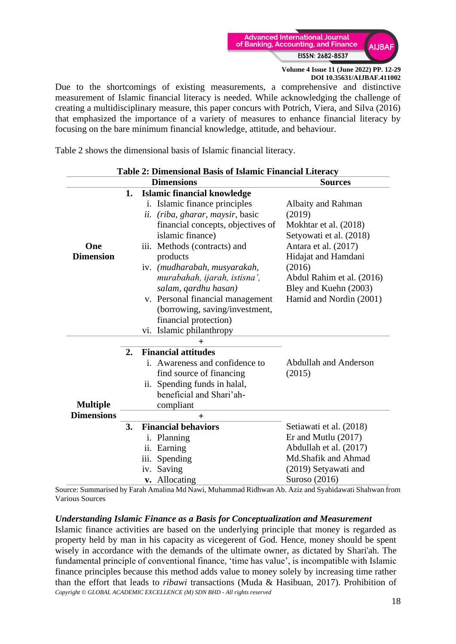

Due to the shortcomings of existing measurements, a comprehensive and distinctive measurement of Islamic financial literacy is needed. While acknowledging the challenge of creating a multidisciplinary measure, this paper concurs with Potrich, Viera, and Silva (2016) that emphasized the importance of a variety of measures to enhance financial literacy by focusing on the bare minimum financial knowledge, attitude, and behaviour.

Table 2 shows the dimensional basis of Islamic financial literacy.

| <b>Table 2: Dimensional Basis of Islamic Financial Literacy</b> |    |                                              |                              |  |
|-----------------------------------------------------------------|----|----------------------------------------------|------------------------------|--|
| <b>Dimensions</b>                                               |    |                                              | <b>Sources</b>               |  |
| 1.<br><b>Islamic financial knowledge</b>                        |    |                                              |                              |  |
|                                                                 |    | <i>i.</i> Islamic finance principles         | Albaity and Rahman           |  |
|                                                                 |    | <i>(riba, gharar, maysir, basic</i> )<br>ii. | (2019)                       |  |
|                                                                 |    | financial concepts, objectives of            | Mokhtar et al. (2018)        |  |
|                                                                 |    | islamic finance)                             | Setyowati et al. (2018)      |  |
| One                                                             |    | Methods (contracts) and<br>iii.              | Antara et al. (2017)         |  |
| <b>Dimension</b>                                                |    | products                                     | Hidajat and Hamdani          |  |
|                                                                 |    | iv. (mudharabah, musyarakah,                 | (2016)                       |  |
|                                                                 |    | murabahah, ijarah, istisna',                 | Abdul Rahim et al. (2016)    |  |
|                                                                 |    | salam, qardhu hasan)                         | Bley and Kuehn (2003)        |  |
|                                                                 |    | v. Personal financial management             | Hamid and Nordin (2001)      |  |
|                                                                 |    | (borrowing, saving/investment,               |                              |  |
|                                                                 |    | financial protection)                        |                              |  |
|                                                                 |    | Islamic philanthropy<br>vi.                  |                              |  |
|                                                                 |    | ╄                                            |                              |  |
|                                                                 | 2. | <b>Financial attitudes</b>                   |                              |  |
|                                                                 |    | i. Awareness and confidence to               | <b>Abdullah and Anderson</b> |  |
|                                                                 |    | find source of financing                     | (2015)                       |  |
|                                                                 |    | ii. Spending funds in halal,                 |                              |  |
|                                                                 |    | beneficial and Shari'ah-                     |                              |  |
| <b>Multiple</b>                                                 |    | compliant                                    |                              |  |
| <b>Dimensions</b>                                               |    | $\pm$                                        |                              |  |
| 3.                                                              |    | <b>Financial behaviors</b>                   | Setiawati et al. (2018)      |  |
|                                                                 |    | Planning<br>i.                               | Er and Mutlu $(2017)$        |  |
|                                                                 |    | Earning<br>ii.                               | Abdullah et al. (2017)       |  |
|                                                                 |    | Spending<br>iii.                             | Md.Shafik and Ahmad          |  |
|                                                                 |    | Saving<br>iv.                                | (2019) Setyawati and         |  |
|                                                                 |    | v. Allocating                                | Suroso (2016)                |  |

Source: Summarised by Farah Amalina Md Nawi, Muhammad Ridhwan Ab. Aziz and Syahidawati Shahwan from Various Sources

#### *Understanding Islamic Finance as a Basis for Conceptualization and Measurement*

*Copyright © GLOBAL ACADEMIC EXCELLENCE (M) SDN BHD - All rights reserved* Islamic finance activities are based on the underlying principle that money is regarded as property held by man in his capacity as vicegerent of God. Hence, money should be spent wisely in accordance with the demands of the ultimate owner, as dictated by Shari'ah. The fundamental principle of conventional finance, 'time has value', is incompatible with Islamic finance principles because this method adds value to money solely by increasing time rather than the effort that leads to *ribawi* transactions (Muda & Hasibuan, 2017). Prohibition of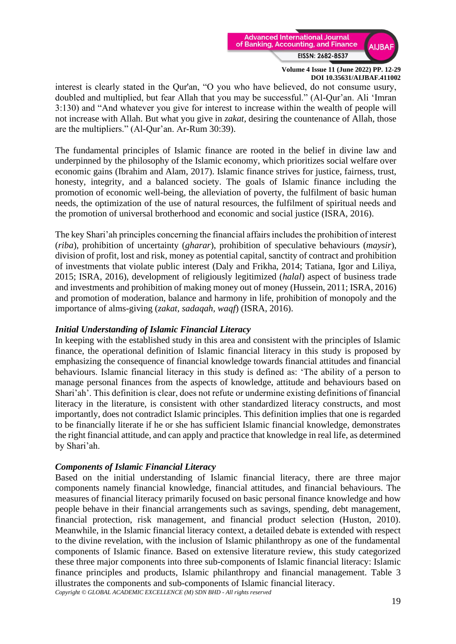

interest is clearly stated in the Qur'an, "O you who have believed, do not consume usury, doubled and multiplied, but fear Allah that you may be successful." (Al-Qur'an. Ali 'Imran 3:130) and "And whatever you give for interest to increase within the wealth of people will not increase with Allah. But what you give in *zakat*, desiring the countenance of Allah, those are the multipliers." (Al-Qur'an. Ar-Rum 30:39).

The fundamental principles of Islamic finance are rooted in the belief in divine law and underpinned by the philosophy of the Islamic economy, which prioritizes social welfare over economic gains (Ibrahim and Alam, 2017). Islamic finance strives for justice, fairness, trust, honesty, integrity, and a balanced society. The goals of Islamic finance including the promotion of economic well-being, the alleviation of poverty, the fulfilment of basic human needs, the optimization of the use of natural resources, the fulfilment of spiritual needs and the promotion of universal brotherhood and economic and social justice (ISRA, 2016).

The key Shari'ah principles concerning the financial affairs includes the prohibition of interest (*riba*), prohibition of uncertainty (*gharar*), prohibition of speculative behaviours (*maysir*), division of profit, lost and risk, money as potential capital, sanctity of contract and prohibition of investments that violate public interest (Daly and Frikha, 2014; Tatiana, Igor and Liliya, 2015; ISRA, 2016), development of religiously legitimized (*halal*) aspect of business trade and investments and prohibition of making money out of money (Hussein, 2011; ISRA, 2016) and promotion of moderation, balance and harmony in life, prohibition of monopoly and the importance of alms-giving (*zakat, sadaqah, waqf*) (ISRA, 2016).

# *Initial Understanding of Islamic Financial Literacy*

In keeping with the established study in this area and consistent with the principles of Islamic finance, the operational definition of Islamic financial literacy in this study is proposed by emphasizing the consequence of financial knowledge towards financial attitudes and financial behaviours. Islamic financial literacy in this study is defined as: 'The ability of a person to manage personal finances from the aspects of knowledge, attitude and behaviours based on Shari'ah'. This definition is clear, does not refute or undermine existing definitions of financial literacy in the literature, is consistent with other standardized literacy constructs, and most importantly, does not contradict Islamic principles. This definition implies that one is regarded to be financially literate if he or she has sufficient Islamic financial knowledge, demonstrates the right financial attitude, and can apply and practice that knowledge in real life, as determined by Shari'ah.

#### *Components of Islamic Financial Literacy*

*Copyright © GLOBAL ACADEMIC EXCELLENCE (M) SDN BHD - All rights reserved* Based on the initial understanding of Islamic financial literacy, there are three major components namely financial knowledge, financial attitudes, and financial behaviours. The measures of financial literacy primarily focused on basic personal finance knowledge and how people behave in their financial arrangements such as savings, spending, debt management, financial protection, risk management, and financial product selection (Huston, 2010). Meanwhile, in the Islamic financial literacy context, a detailed debate is extended with respect to the divine revelation, with the inclusion of Islamic philanthropy as one of the fundamental components of Islamic finance. Based on extensive literature review, this study categorized these three major components into three sub-components of Islamic financial literacy: Islamic finance principles and products, Islamic philanthropy and financial management. Table 3 illustrates the components and sub-components of Islamic financial literacy.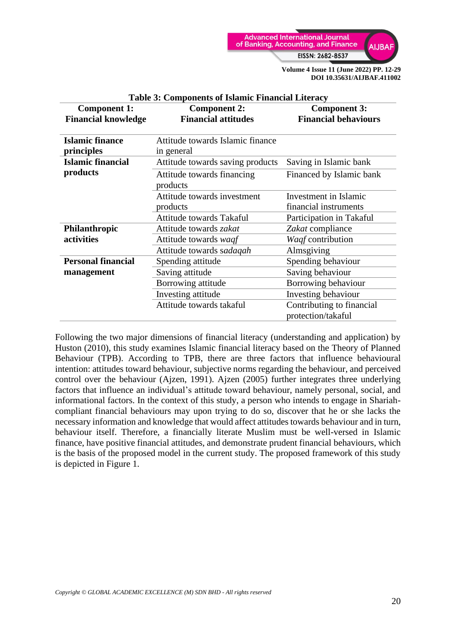

| <b>Component 1:</b>        | <b>Component 2:</b>              | <b>Component 3:</b>         |  |
|----------------------------|----------------------------------|-----------------------------|--|
| <b>Financial knowledge</b> | <b>Financial attitudes</b>       | <b>Financial behaviours</b> |  |
|                            |                                  |                             |  |
| <b>Islamic finance</b>     | Attitude towards Islamic finance |                             |  |
| principles                 | in general                       |                             |  |
| <b>Islamic financial</b>   | Attitude towards saving products | Saving in Islamic bank      |  |
| products                   | Attitude towards financing       | Financed by Islamic bank    |  |
|                            | products                         |                             |  |
|                            | Attitude towards investment      | Investment in Islamic       |  |
|                            | products                         | financial instruments       |  |
|                            | Attitude towards Takaful         | Participation in Takaful    |  |
| Philanthropic              | Attitude towards zakat           | Zakat compliance            |  |
| activities                 | Attitude towards waqf            | Waqf contribution           |  |
|                            | Attitude towards sadaqah         | Almsgiving                  |  |
| <b>Personal financial</b>  | Spending attitude                | Spending behaviour          |  |
| management                 | Saving attitude                  | Saving behaviour            |  |
|                            | Borrowing attitude               | Borrowing behaviour         |  |
|                            | Investing attitude               | Investing behaviour         |  |
|                            | Attitude towards takaful         | Contributing to financial   |  |
|                            |                                  | protection/takaful          |  |

#### **Table 3: Components of Islamic Financial Literacy**

Following the two major dimensions of financial literacy (understanding and application) by Huston (2010), this study examines Islamic financial literacy based on the Theory of Planned Behaviour (TPB). According to TPB, there are three factors that influence behavioural intention: attitudes toward behaviour, subjective norms regarding the behaviour, and perceived control over the behaviour (Ajzen, 1991). Ajzen (2005) further integrates three underlying factors that influence an individual's attitude toward behaviour, namely personal, social, and informational factors. In the context of this study, a person who intends to engage in Shariahcompliant financial behaviours may upon trying to do so, discover that he or she lacks the necessary information and knowledge that would affect attitudes towards behaviour and in turn, behaviour itself. Therefore, a financially literate Muslim must be well-versed in Islamic finance, have positive financial attitudes, and demonstrate prudent financial behaviours, which is the basis of the proposed model in the current study. The proposed framework of this study is depicted in Figure 1.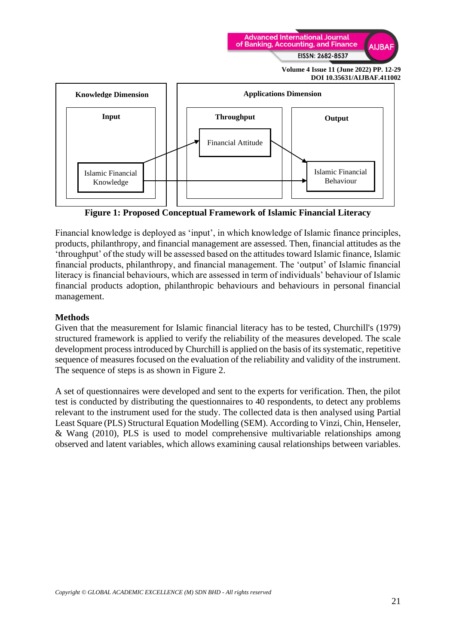



**Figure 1: Proposed Conceptual Framework of Islamic Financial Literacy**

Financial knowledge is deployed as 'input', in which knowledge of Islamic finance principles, products, philanthropy, and financial management are assessed. Then, financial attitudes as the 'throughput' of the study will be assessed based on the attitudes toward Islamic finance, Islamic financial products, philanthropy, and financial management. The 'output' of Islamic financial literacy is financial behaviours, which are assessed in term of individuals' behaviour of Islamic financial products adoption, philanthropic behaviours and behaviours in personal financial management.

#### **Methods**

Given that the measurement for Islamic financial literacy has to be tested, Churchill's (1979) structured framework is applied to verify the reliability of the measures developed. The scale development process introduced by Churchill is applied on the basis of its systematic, repetitive sequence of measures focused on the evaluation of the reliability and validity of the instrument. The sequence of steps is as shown in Figure 2.

A set of questionnaires were developed and sent to the experts for verification. Then, the pilot test is conducted by distributing the questionnaires to 40 respondents, to detect any problems relevant to the instrument used for the study. The collected data is then analysed using Partial Least Square (PLS) Structural Equation Modelling (SEM). According to Vinzi, Chin, Henseler, & Wang (2010), PLS is used to model comprehensive multivariable relationships among observed and latent variables, which allows examining causal relationships between variables.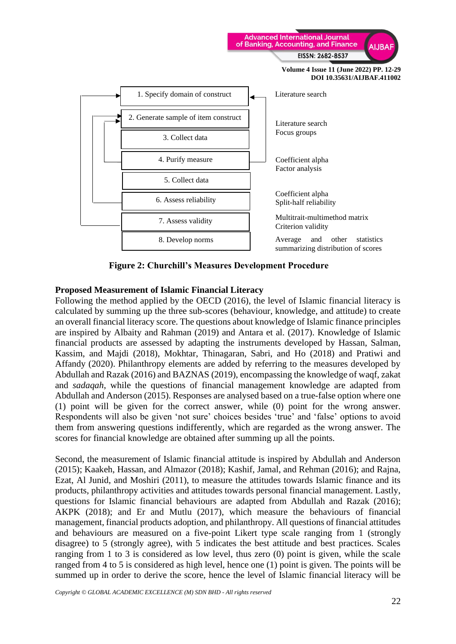

**Figure 2: Churchill's Measures Development Procedure**

#### **Proposed Measurement of Islamic Financial Literacy**

Following the method applied by the OECD (2016), the level of Islamic financial literacy is calculated by summing up the three sub-scores (behaviour, knowledge, and attitude) to create an overall financial literacy score. The questions about knowledge of Islamic finance principles are inspired by Albaity and Rahman (2019) and Antara et al. (2017). Knowledge of Islamic financial products are assessed by adapting the instruments developed by Hassan, Salman, Kassim, and Majdi (2018), Mokhtar, Thinagaran, Sabri, and Ho (2018) and Pratiwi and Affandy (2020). Philanthropy elements are added by referring to the measures developed by Abdullah and Razak (2016) and BAZNAS (2019), encompassing the knowledge of waqf, zakat and *sadaqah*, while the questions of financial management knowledge are adapted from Abdullah and Anderson (2015). Responses are analysed based on a true-false option where one (1) point will be given for the correct answer, while (0) point for the wrong answer. Respondents will also be given 'not sure' choices besides 'true' and 'false' options to avoid them from answering questions indifferently, which are regarded as the wrong answer. The scores for financial knowledge are obtained after summing up all the points.

Second, the measurement of Islamic financial attitude is inspired by Abdullah and Anderson (2015); Kaakeh, Hassan, and Almazor (2018); Kashif, Jamal, and Rehman (2016); and Rajna, Ezat, Al Junid, and Moshiri (2011), to measure the attitudes towards Islamic finance and its products, philanthropy activities and attitudes towards personal financial management. Lastly, questions for Islamic financial behaviours are adapted from Abdullah and Razak (2016); AKPK (2018); and Er and Mutlu (2017), which measure the behaviours of financial management, financial products adoption, and philanthropy. All questions of financial attitudes and behaviours are measured on a five-point Likert type scale ranging from 1 (strongly disagree) to 5 (strongly agree), with 5 indicates the best attitude and best practices. Scales ranging from 1 to 3 is considered as low level, thus zero (0) point is given, while the scale ranged from 4 to 5 is considered as high level, hence one (1) point is given. The points will be summed up in order to derive the score, hence the level of Islamic financial literacy will be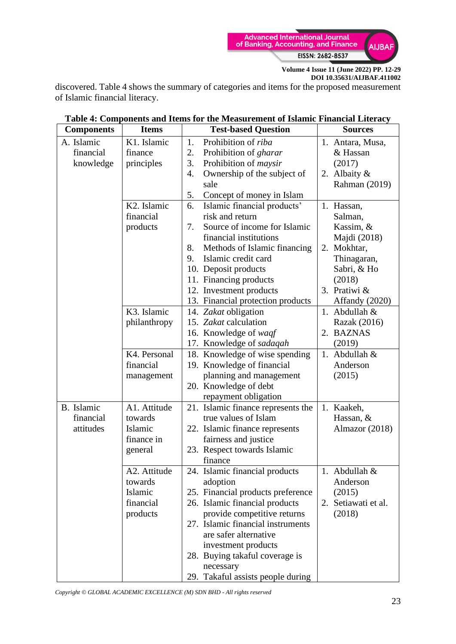

discovered. Table 4 shows the summary of categories and items for the proposed measurement of Islamic financial literacy.

| <b>Components</b><br><b>Items</b>    |                                                                                                                                                                       | <b>Test-based Question</b>                                                                                                                                                                                                                                                                                                                                                                                                                                                                                                                                                                                                                                          |                              | <b>Sources</b>                                                                                                                                                       |
|--------------------------------------|-----------------------------------------------------------------------------------------------------------------------------------------------------------------------|---------------------------------------------------------------------------------------------------------------------------------------------------------------------------------------------------------------------------------------------------------------------------------------------------------------------------------------------------------------------------------------------------------------------------------------------------------------------------------------------------------------------------------------------------------------------------------------------------------------------------------------------------------------------|------------------------------|----------------------------------------------------------------------------------------------------------------------------------------------------------------------|
| A. Islamic                           | K1. Islamic                                                                                                                                                           | Prohibition of riba<br>1.                                                                                                                                                                                                                                                                                                                                                                                                                                                                                                                                                                                                                                           |                              | 1. Antara, Musa,                                                                                                                                                     |
| financial                            | finance                                                                                                                                                               | 2.<br>Prohibition of gharar                                                                                                                                                                                                                                                                                                                                                                                                                                                                                                                                                                                                                                         |                              | & Hassan                                                                                                                                                             |
| knowledge                            | principles                                                                                                                                                            | 3.<br>Prohibition of <i>maysir</i>                                                                                                                                                                                                                                                                                                                                                                                                                                                                                                                                                                                                                                  |                              | (2017)                                                                                                                                                               |
|                                      |                                                                                                                                                                       | Ownership of the subject of<br>4.                                                                                                                                                                                                                                                                                                                                                                                                                                                                                                                                                                                                                                   |                              | 2. Albaity &                                                                                                                                                         |
|                                      |                                                                                                                                                                       | sale                                                                                                                                                                                                                                                                                                                                                                                                                                                                                                                                                                                                                                                                |                              | Rahman (2019)                                                                                                                                                        |
|                                      |                                                                                                                                                                       | 5.<br>Concept of money in Islam                                                                                                                                                                                                                                                                                                                                                                                                                                                                                                                                                                                                                                     |                              |                                                                                                                                                                      |
|                                      | K2. Islamic                                                                                                                                                           | Islamic financial products'<br>6.                                                                                                                                                                                                                                                                                                                                                                                                                                                                                                                                                                                                                                   |                              | 1. Hassan,                                                                                                                                                           |
|                                      | financial                                                                                                                                                             | risk and return                                                                                                                                                                                                                                                                                                                                                                                                                                                                                                                                                                                                                                                     |                              | Salman,                                                                                                                                                              |
|                                      | products                                                                                                                                                              | Source of income for Islamic<br>7.                                                                                                                                                                                                                                                                                                                                                                                                                                                                                                                                                                                                                                  |                              | Kassim, &                                                                                                                                                            |
|                                      |                                                                                                                                                                       | financial institutions                                                                                                                                                                                                                                                                                                                                                                                                                                                                                                                                                                                                                                              |                              | Majdi (2018)                                                                                                                                                         |
|                                      |                                                                                                                                                                       | 8.                                                                                                                                                                                                                                                                                                                                                                                                                                                                                                                                                                                                                                                                  | Methods of Islamic financing | 2. Mokhtar,                                                                                                                                                          |
|                                      |                                                                                                                                                                       | Islamic credit card<br>9.                                                                                                                                                                                                                                                                                                                                                                                                                                                                                                                                                                                                                                           |                              | Thinagaran,                                                                                                                                                          |
|                                      |                                                                                                                                                                       | 10. Deposit products                                                                                                                                                                                                                                                                                                                                                                                                                                                                                                                                                                                                                                                |                              | Sabri, & Ho                                                                                                                                                          |
|                                      |                                                                                                                                                                       | 11. Financing products                                                                                                                                                                                                                                                                                                                                                                                                                                                                                                                                                                                                                                              |                              | (2018)                                                                                                                                                               |
|                                      |                                                                                                                                                                       | 12. Investment products                                                                                                                                                                                                                                                                                                                                                                                                                                                                                                                                                                                                                                             |                              | 3. Pratiwi &                                                                                                                                                         |
|                                      |                                                                                                                                                                       | 13. Financial protection products                                                                                                                                                                                                                                                                                                                                                                                                                                                                                                                                                                                                                                   |                              | Affandy (2020)                                                                                                                                                       |
|                                      | K3. Islamic                                                                                                                                                           | 14. Zakat obligation                                                                                                                                                                                                                                                                                                                                                                                                                                                                                                                                                                                                                                                |                              | 1. Abdullah &                                                                                                                                                        |
|                                      | philanthropy                                                                                                                                                          | 15. Zakat calculation                                                                                                                                                                                                                                                                                                                                                                                                                                                                                                                                                                                                                                               |                              | Razak (2016)                                                                                                                                                         |
|                                      |                                                                                                                                                                       | 16. Knowledge of waqf                                                                                                                                                                                                                                                                                                                                                                                                                                                                                                                                                                                                                                               |                              | <b>BAZNAS</b><br>2.                                                                                                                                                  |
|                                      |                                                                                                                                                                       |                                                                                                                                                                                                                                                                                                                                                                                                                                                                                                                                                                                                                                                                     |                              |                                                                                                                                                                      |
|                                      |                                                                                                                                                                       |                                                                                                                                                                                                                                                                                                                                                                                                                                                                                                                                                                                                                                                                     |                              |                                                                                                                                                                      |
|                                      |                                                                                                                                                                       |                                                                                                                                                                                                                                                                                                                                                                                                                                                                                                                                                                                                                                                                     |                              |                                                                                                                                                                      |
|                                      |                                                                                                                                                                       |                                                                                                                                                                                                                                                                                                                                                                                                                                                                                                                                                                                                                                                                     |                              |                                                                                                                                                                      |
|                                      |                                                                                                                                                                       |                                                                                                                                                                                                                                                                                                                                                                                                                                                                                                                                                                                                                                                                     |                              |                                                                                                                                                                      |
|                                      |                                                                                                                                                                       |                                                                                                                                                                                                                                                                                                                                                                                                                                                                                                                                                                                                                                                                     |                              |                                                                                                                                                                      |
|                                      |                                                                                                                                                                       |                                                                                                                                                                                                                                                                                                                                                                                                                                                                                                                                                                                                                                                                     |                              |                                                                                                                                                                      |
|                                      |                                                                                                                                                                       |                                                                                                                                                                                                                                                                                                                                                                                                                                                                                                                                                                                                                                                                     |                              |                                                                                                                                                                      |
|                                      |                                                                                                                                                                       |                                                                                                                                                                                                                                                                                                                                                                                                                                                                                                                                                                                                                                                                     |                              |                                                                                                                                                                      |
|                                      |                                                                                                                                                                       |                                                                                                                                                                                                                                                                                                                                                                                                                                                                                                                                                                                                                                                                     |                              |                                                                                                                                                                      |
|                                      |                                                                                                                                                                       |                                                                                                                                                                                                                                                                                                                                                                                                                                                                                                                                                                                                                                                                     |                              |                                                                                                                                                                      |
|                                      |                                                                                                                                                                       |                                                                                                                                                                                                                                                                                                                                                                                                                                                                                                                                                                                                                                                                     |                              |                                                                                                                                                                      |
|                                      |                                                                                                                                                                       |                                                                                                                                                                                                                                                                                                                                                                                                                                                                                                                                                                                                                                                                     |                              |                                                                                                                                                                      |
|                                      |                                                                                                                                                                       |                                                                                                                                                                                                                                                                                                                                                                                                                                                                                                                                                                                                                                                                     |                              |                                                                                                                                                                      |
|                                      |                                                                                                                                                                       |                                                                                                                                                                                                                                                                                                                                                                                                                                                                                                                                                                                                                                                                     |                              |                                                                                                                                                                      |
|                                      |                                                                                                                                                                       |                                                                                                                                                                                                                                                                                                                                                                                                                                                                                                                                                                                                                                                                     |                              |                                                                                                                                                                      |
|                                      |                                                                                                                                                                       |                                                                                                                                                                                                                                                                                                                                                                                                                                                                                                                                                                                                                                                                     |                              |                                                                                                                                                                      |
|                                      |                                                                                                                                                                       |                                                                                                                                                                                                                                                                                                                                                                                                                                                                                                                                                                                                                                                                     |                              |                                                                                                                                                                      |
|                                      |                                                                                                                                                                       |                                                                                                                                                                                                                                                                                                                                                                                                                                                                                                                                                                                                                                                                     |                              |                                                                                                                                                                      |
|                                      |                                                                                                                                                                       |                                                                                                                                                                                                                                                                                                                                                                                                                                                                                                                                                                                                                                                                     |                              |                                                                                                                                                                      |
|                                      |                                                                                                                                                                       |                                                                                                                                                                                                                                                                                                                                                                                                                                                                                                                                                                                                                                                                     |                              |                                                                                                                                                                      |
|                                      |                                                                                                                                                                       |                                                                                                                                                                                                                                                                                                                                                                                                                                                                                                                                                                                                                                                                     |                              |                                                                                                                                                                      |
| B. Islamic<br>financial<br>attitudes | K4. Personal<br>financial<br>management<br>A1. Attitude<br>towards<br>Islamic<br>finance in<br>general<br>A2. Attitude<br>towards<br>Islamic<br>financial<br>products | 17. Knowledge of sadaqah<br>18. Knowledge of wise spending<br>19. Knowledge of financial<br>planning and management<br>20. Knowledge of debt<br>repayment obligation<br>21. Islamic finance represents the<br>true values of Islam<br>22. Islamic finance represents<br>fairness and justice<br>23. Respect towards Islamic<br>finance<br>24. Islamic financial products<br>adoption<br>25. Financial products preference<br>26. Islamic financial products<br>provide competitive returns<br>27. Islamic financial instruments<br>are safer alternative<br>investment products<br>28. Buying takaful coverage is<br>necessary<br>29. Takaful assists people during |                              | (2019)<br>1. Abdullah &<br>Anderson<br>(2015)<br>1. Kaakeh,<br>Hassan, &<br>Almazor (2018)<br>1. Abdullah $&$<br>Anderson<br>(2015)<br>2. Setiawati et al.<br>(2018) |

# **Table 4: Components and Items for the Measurement of Islamic Financial Literacy**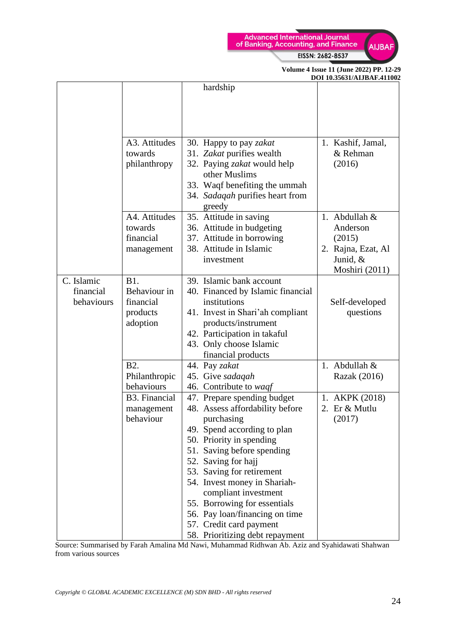



|            |                      |                                   | DUI 10.35031/AIJBAF.411002 |
|------------|----------------------|-----------------------------------|----------------------------|
|            |                      | hardship                          |                            |
|            |                      |                                   |                            |
|            |                      |                                   |                            |
|            |                      |                                   |                            |
|            |                      |                                   |                            |
|            | A3. Attitudes        | 30. Happy to pay zakat            | 1. Kashif, Jamal,          |
|            | towards              | 31. Zakat purifies wealth         | & Rehman                   |
|            | philanthropy         | 32. Paying zakat would help       | (2016)                     |
|            |                      | other Muslims                     |                            |
|            |                      | 33. Waqf benefiting the ummah     |                            |
|            |                      | 34. Sadaqah purifies heart from   |                            |
|            |                      | greedy                            |                            |
|            | A4. Attitudes        | 35. Attitude in saving            | 1. Abdullah $&$            |
|            | towards              | 36. Attitude in budgeting         | Anderson                   |
|            | financial            | 37. Attitude in borrowing         | (2015)                     |
|            | management           | 38. Attitude in Islamic           | 2. Rajna, Ezat, Al         |
|            |                      | investment                        | Junid, &                   |
|            |                      |                                   | Moshiri (2011)             |
| C. Islamic | <b>B1.</b>           | 39. Islamic bank account          |                            |
| financial  | Behaviour in         | 40. Financed by Islamic financial |                            |
| behaviours | financial            | institutions                      | Self-developed             |
|            | products             | 41. Invest in Shari'ah compliant  | questions                  |
|            | adoption             | products/instrument               |                            |
|            |                      | 42. Participation in takaful      |                            |
|            |                      | 43. Only choose Islamic           |                            |
|            |                      | financial products                |                            |
|            | <b>B2.</b>           | 44. Pay zakat                     | 1. Abdullah $&$            |
|            | Philanthropic        | 45. Give sadaqah                  | Razak (2016)               |
|            | behaviours           | 46. Contribute to waqf            |                            |
|            | <b>B3. Financial</b> | 47. Prepare spending budget       | 1. AKPK (2018)             |
|            | management           | 48. Assess affordability before   | 2. Er & Mutlu              |
|            | behaviour            | purchasing                        | (2017)                     |
|            |                      | 49. Spend according to plan       |                            |
|            |                      | 50. Priority in spending          |                            |
|            |                      | 51. Saving before spending        |                            |
|            |                      | 52. Saving for hajj               |                            |
|            |                      | 53. Saving for retirement         |                            |
|            |                      | 54. Invest money in Shariah-      |                            |
|            |                      | compliant investment              |                            |
|            |                      | 55. Borrowing for essentials      |                            |
|            |                      | 56. Pay loan/financing on time    |                            |
|            |                      | 57. Credit card payment           |                            |
|            |                      | 58. Prioritizing debt repayment   |                            |

Source: Summarised by Farah Amalina Md Nawi, Muhammad Ridhwan Ab. Aziz and Syahidawati Shahwan from various sources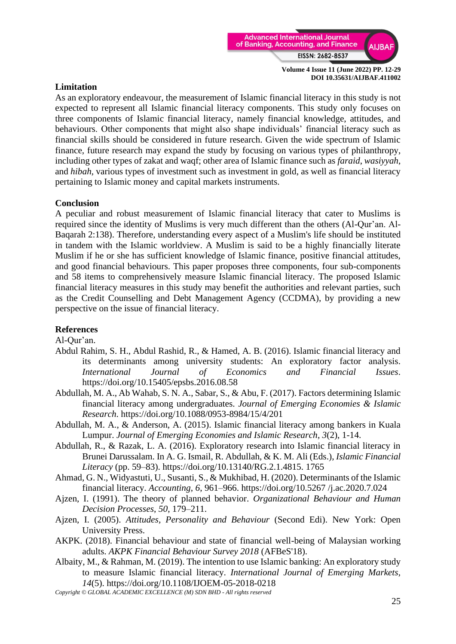

#### **Limitation**

As an exploratory endeavour, the measurement of Islamic financial literacy in this study is not expected to represent all Islamic financial literacy components. This study only focuses on three components of Islamic financial literacy, namely financial knowledge, attitudes, and behaviours. Other components that might also shape individuals' financial literacy such as financial skills should be considered in future research. Given the wide spectrum of Islamic finance, future research may expand the study by focusing on various types of philanthropy, including other types of zakat and waqf; other area of Islamic finance such as *faraid*, *wasiyyah*, and *hibah*, various types of investment such as investment in gold, as well as financial literacy pertaining to Islamic money and capital markets instruments.

### **Conclusion**

A peculiar and robust measurement of Islamic financial literacy that cater to Muslims is required since the identity of Muslims is very much different than the others (Al-Qur'an. Al-Baqarah 2:138). Therefore, understanding every aspect of a Muslim's life should be instituted in tandem with the Islamic worldview. A Muslim is said to be a highly financially literate Muslim if he or she has sufficient knowledge of Islamic finance, positive financial attitudes, and good financial behaviours. This paper proposes three components, four sub-components and 58 items to comprehensively measure Islamic financial literacy. The proposed Islamic financial literacy measures in this study may benefit the authorities and relevant parties, such as the Credit Counselling and Debt Management Agency (CCDMA), by providing a new perspective on the issue of financial literacy.

# **References**

Al-Qur'an.

- Abdul Rahim, S. H., Abdul Rashid, R., & Hamed, A. B. (2016). Islamic financial literacy and its determinants among university students: An exploratory factor analysis. *International Journal of Economics and Financial Issues*. https://doi.org/10.15405/epsbs.2016.08.58
- Abdullah, M. A., Ab Wahab, S. N. A., Sabar, S., & Abu, F. (2017). Factors determining Islamic financial literacy among undergraduates. *Journal of Emerging Economies & Islamic Research*. https://doi.org/10.1088/0953-8984/15/4/201
- Abdullah, M. A., & Anderson, A. (2015). Islamic financial literacy among bankers in Kuala Lumpur. *Journal of Emerging Economies and Islamic Research*, *3*(2), 1-14.
- Abdullah, R., & Razak, L. A. (2016). Exploratory research into Islamic financial literacy in Brunei Darussalam. In A. G. Ismail, R. Abdullah, & K. M. Ali (Eds.), *Islamic Financial Literacy* (pp. 59–83). https://doi.org/10.13140/RG.2.1.4815. 1765
- Ahmad, G. N., Widyastuti, U., Susanti, S., & Mukhibad, H. (2020). Determinants of the Islamic financial literacy. *Accounting*, *6*, 961–966. [https://doi.org/10.5267 /j.ac.2020.7.024](https://doi.org/10.5267%20/j.ac.2020.7.024)
- Ajzen, I. (1991). The theory of planned behavior. *Organizational Behaviour and Human Decision Processes*, *50*, 179–211.
- Ajzen, I. (2005). *Attitudes, Personality and Behaviour* (Second Edi). New York: Open University Press.
- AKPK. (2018). Financial behaviour and state of financial well-being of Malaysian working adults. *AKPK Financial Behaviour Survey 2018* (AFBeS'18).
- Albaity, M., & Rahman, M. (2019). The intention to use Islamic banking: An exploratory study to measure Islamic financial literacy. *International Journal of Emerging Markets*, *14*(5).<https://doi.org/10.1108/IJOEM-05-2018-0218>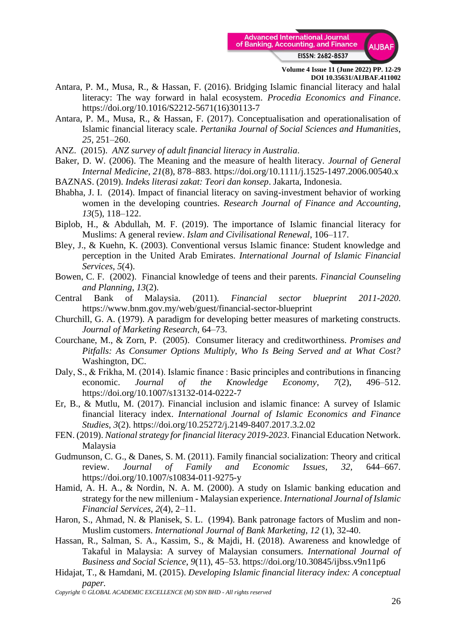

- Antara, P. M., Musa, R., & Hassan, F. (2016). Bridging Islamic financial literacy and halal literacy: The way forward in halal ecosystem. *Procedia Economics and Finance*. https://doi.org/10.1016/S2212-5671(16)30113-7
- Antara, P. M., Musa, R., & Hassan, F. (2017). Conceptualisation and operationalisation of Islamic financial literacy scale. *Pertanika Journal of Social Sciences and Humanities*, *25*, 251–260.
- ANZ. (2015). *ANZ survey of adult financial literacy in Australia*.
- Baker, D. W. (2006). The Meaning and the measure of health literacy. *Journal of General Internal Medicine*, *21*(8), 878–883. https://doi.org/10.1111/j.1525-1497.2006.00540.x
- BAZNAS. (2019). *Indeks literasi zakat: Teori dan konsep*. Jakarta, Indonesia.
- Bhabha, J. I. (2014). Impact of financial literacy on saving-investment behavior of working women in the developing countries. *Research Journal of Finance and Accounting*, *13*(5), 118–122.
- Biplob, H., & Abdullah, M. F. (2019). The importance of Islamic financial literacy for Muslims: A general review. *Islam and Civilisational Renewal*, 106–117.
- Bley, J., & Kuehn, K. (2003). Conventional versus Islamic finance: Student knowledge and perception in the United Arab Emirates. *International Journal of Islamic Financial Services*, *5*(4).
- Bowen, C. F. (2002). Financial knowledge of teens and their parents. *Financial Counseling and Planning*, *13*(2).
- Central Bank of Malaysia. (2011)*. Financial sector blueprint 2011-2020*. https://www.bnm.gov.my/web/guest/financial-sector-blueprint
- Churchill, G. A. (1979). A paradigm for developing better measures of marketing constructs. *Journal of Marketing Research*, 64–73.
- Courchane, M., & Zorn, P. (2005). Consumer literacy and creditworthiness. *Promises and Pitfalls: As Consumer Options Multiply, Who Is Being Served and at What Cost?* Washington, DC.
- Daly, S., & Frikha, M. (2014). Islamic finance : Basic principles and contributions in financing economic. *Journal of the Knowledge Economy*, *7*(2), 496–512. https://doi.org/10.1007/s13132-014-0222-7
- Er, B., & Mutlu, M. (2017). Financial inclusion and islamic finance: A survey of Islamic financial literacy index. *International Journal of Islamic Economics and Finance Studies*, *3*(2). https://doi.org/10.25272/j.2149-8407.2017.3.2.02
- FEN. (2019). *National strategy for financial literacy 2019-2023*. Financial Education Network. Malaysia
- Gudmunson, C. G., & Danes, S. M. (2011). Family financial socialization: Theory and critical review. *Journal of Family and Economic Issues*, *32*, 644–667. https://doi.org/10.1007/s10834-011-9275-y
- Hamid, A. H. A., & Nordin, N. A. M. (2000). A study on Islamic banking education and strategy for the new millenium - Malaysian experience. *International Journal of Islamic Financial Services*, *2*(4), 2–11.
- Haron, S., Ahmad, N. & Planisek, S. L. (1994). Bank patronage factors of Muslim and non-Muslim customers. *International Journal of Bank Marketing*, *12* (1), 32-40.
- Hassan, R., Salman, S. A., Kassim, S., & Majdi, H. (2018). Awareness and knowledge of Takaful in Malaysia: A survey of Malaysian consumers. *International Journal of Business and Social Science*, *9*(11), 45–53. https://doi.org/10.30845/ijbss.v9n11p6
- Hidajat, T., & Hamdani, M. (2015). *Developing Islamic financial literacy index: A conceptual paper.*

*Copyright © GLOBAL ACADEMIC EXCELLENCE (M) SDN BHD - All rights reserved*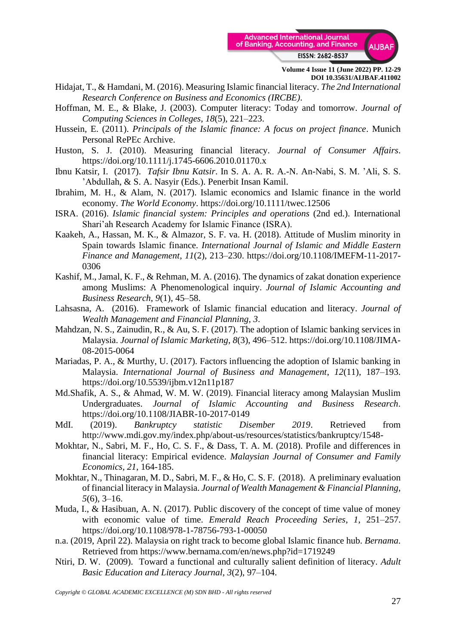

- Hidajat, T., & Hamdani, M. (2016). Measuring Islamic financial literacy. *The 2nd International Research Conference on Business and Economics (IRCBE)*.
- Hoffman, M. E., & Blake, J. (2003). Computer literacy: Today and tomorrow. *Journal of Computing Sciences in Colleges*, *18*(5), 221–223.
- Hussein, E. (2011). *Principals of the Islamic finance: A focus on project finance*. Munich Personal RePEc Archive.
- Huston, S. J. (2010). Measuring financial literacy. *Journal of Consumer Affairs*. https://doi.org/10.1111/j.1745-6606.2010.01170.x
- Ibnu Katsir, I. (2017). *Tafsir Ibnu Katsir*. In S. A. A. R. A.-N. An-Nabi, S. M. 'Ali, S. S. 'Abdullah, & S. A. Nasyir (Eds.). Penerbit Insan Kamil.
- Ibrahim, M. H., & Alam, N. (2017). Islamic economics and Islamic finance in the world economy. *The World Economy*. https://doi.org/10.1111/twec.12506
- ISRA. (2016). *Islamic financial system: Principles and operations* (2nd ed.). International Shari'ah Research Academy for Islamic Finance (ISRA).
- Kaakeh, A., Hassan, M. K., & Almazor, S. F. va. H. (2018). Attitude of Muslim minority in Spain towards Islamic finance. *International Journal of Islamic and Middle Eastern Finance and Management*, *11*(2), 213–230. https://doi.org/10.1108/IMEFM-11-2017- 0306
- Kashif, M., Jamal, K. F., & Rehman, M. A. (2016). The dynamics of zakat donation experience among Muslims: A Phenomenological inquiry. *Journal of Islamic Accounting and Business Research*, *9*(1), 45–58.
- Lahsasna, A. (2016). Framework of Islamic financial education and literacy. *Journal of Wealth Management and Financial Planning*, *3*.
- Mahdzan, N. S., Zainudin, R., & Au, S. F. (2017). The adoption of Islamic banking services in Malaysia. *Journal of Islamic Marketing*, *8*(3), 496–512. https://doi.org/10.1108/JIMA-08-2015-0064
- Mariadas, P. A., & Murthy, U. (2017). Factors influencing the adoption of Islamic banking in Malaysia. *International Journal of Business and Management*, *12*(11), 187–193. https://doi.org/10.5539/ijbm.v12n11p187
- Md.Shafik, A. S., & Ahmad, W. M. W. (2019). Financial literacy among Malaysian Muslim Undergraduates. *Journal of Islamic Accounting and Business Research*. https://doi.org/10.1108/JIABR-10-2017-0149
- MdI. (2019). *Bankruptcy statistic Disember 2019*. Retrieved from http://www.mdi.gov.my/index.php/about-us/resources/statistics/bankruptcy/1548-
- Mokhtar, N., Sabri, M. F., Ho, C. S. F., & Dass, T. A. M. (2018). Profile and differences in financial literacy: Empirical evidence. *Malaysian Journal of Consumer and Family Economics, 21*, 164-185.
- Mokhtar, N., Thinagaran, M. D., Sabri, M. F., & Ho, C. S. F. (2018). A preliminary evaluation of financial literacy in Malaysia. *Journal of Wealth Management & Financial Planning*, *5*(6), 3–16.
- Muda, I., & Hasibuan, A. N. (2017). Public discovery of the concept of time value of money with economic value of time. *Emerald Reach Proceeding Series*, *1*, 251–257. https://doi.org/10.1108/978-1-78756-793-1-00050
- n.a. (2019, April 22). Malaysia on right track to become global Islamic finance hub. *Bernama*. Retrieved from https://www.bernama.com/en/news.php?id=1719249
- Ntiri, D. W. (2009). Toward a functional and culturally salient definition of literacy. *Adult Basic Education and Literacy Journal*, *3*(2), 97–104.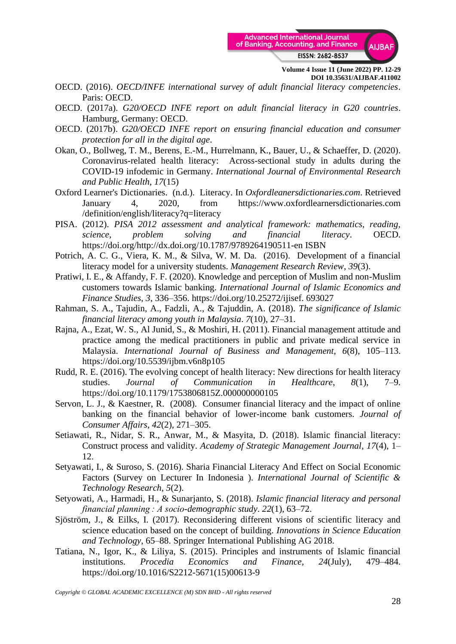

- OECD. (2016). *OECD/INFE international survey of adult financial literacy competencies*. Paris: OECD.
- OECD. (2017a). *G20/OECD INFE report on adult financial literacy in G20 countries*. Hamburg, Germany: OECD.
- OECD. (2017b). *G20/OECD INFE report on ensuring financial education and consumer protection for all in the digital age*.
- Okan, O., Bollweg, T. M., Berens, E.-M., Hurrelmann, K., Bauer, U., & Schaeffer, D. (2020). Coronavirus-related health literacy: Across-sectional study in adults during the COVID-19 infodemic in Germany. *International Journal of Environmental Research and Public Health*, *17*(15)
- Oxford Learner's Dictionaries. (n.d.). Literacy. In *Oxfordleanersdictionaries.com*. Retrieved January 4, 2020, from https://www.oxfordlearnersdictionaries.com /definition/english/literacy?q=literacy
- PISA. (2012). *PISA 2012 assessment and analytical framework: mathematics, reading, science, problem solving and financial literacy*. OECD. https://doi.org/http://dx.doi.org/10.1787/9789264190511-en ISBN
- Potrich, A. C. G., Viera, K. M., & Silva, W. M. Da. (2016). Development of a financial literacy model for a university students. *Management Research Review*, *39*(3).
- Pratiwi, I. E., & Affandy, F. F. (2020). Knowledge and perception of Muslim and non-Muslim customers towards Islamic banking. *International Journal of Islamic Economics and Finance Studies*, *3*, 336–356. https://doi.org/10.25272/ijisef. 693027
- Rahman, S. A., Tajudin, A., Fadzli, A., & Tajuddin, A. (2018). *The significance of Islamic financial literacy among youth in Malaysia*. *7*(10), 27–31.
- Rajna, A., Ezat, W. S., Al Junid, S., & Moshiri, H. (2011). Financial management attitude and practice among the medical practitioners in public and private medical service in Malaysia. *International Journal of Business and Management*, *6*(8), 105–113. https://doi.org/10.5539/ijbm.v6n8p105
- Rudd, R. E. (2016). The evolving concept of health literacy: New directions for health literacy studies. *Journal of Communication in Healthcare*, *8*(1), 7–9. https://doi.org/10.1179/1753806815Z.000000000105
- Servon, L. J., & Kaestner, R. (2008). Consumer financial literacy and the impact of online banking on the financial behavior of lower-income bank customers. *Journal of Consumer Affairs*, *42*(2), 271–305.
- Setiawati, R., Nidar, S. R., Anwar, M., & Masyita, D. (2018). Islamic financial literacy: Construct process and validity. *Academy of Strategic Management Journal*, *17*(4), 1– 12.
- Setyawati, I., & Suroso, S. (2016). Sharia Financial Literacy And Effect on Social Economic Factors (Survey on Lecturer In Indonesia ). *International Journal of Scientific & Technology Research*, *5*(2).
- Setyowati, A., Harmadi, H., & Sunarjanto, S. (2018). *Islamic financial literacy and personal financial planning : A socio-demographic study*. *22*(1), 63–72.
- Sjöström, J., & Eilks, I. (2017). Reconsidering different visions of scientific literacy and science education based on the concept of building. *Innovations in Science Education and Technology*, 65–88. Springer International Publishing AG 2018.
- Tatiana, N., Igor, K., & Liliya, S. (2015). Principles and instruments of Islamic financial institutions. *Procedia Economics and Finance*, *24*(July), 479–484. https://doi.org/10.1016/S2212-5671(15)00613-9